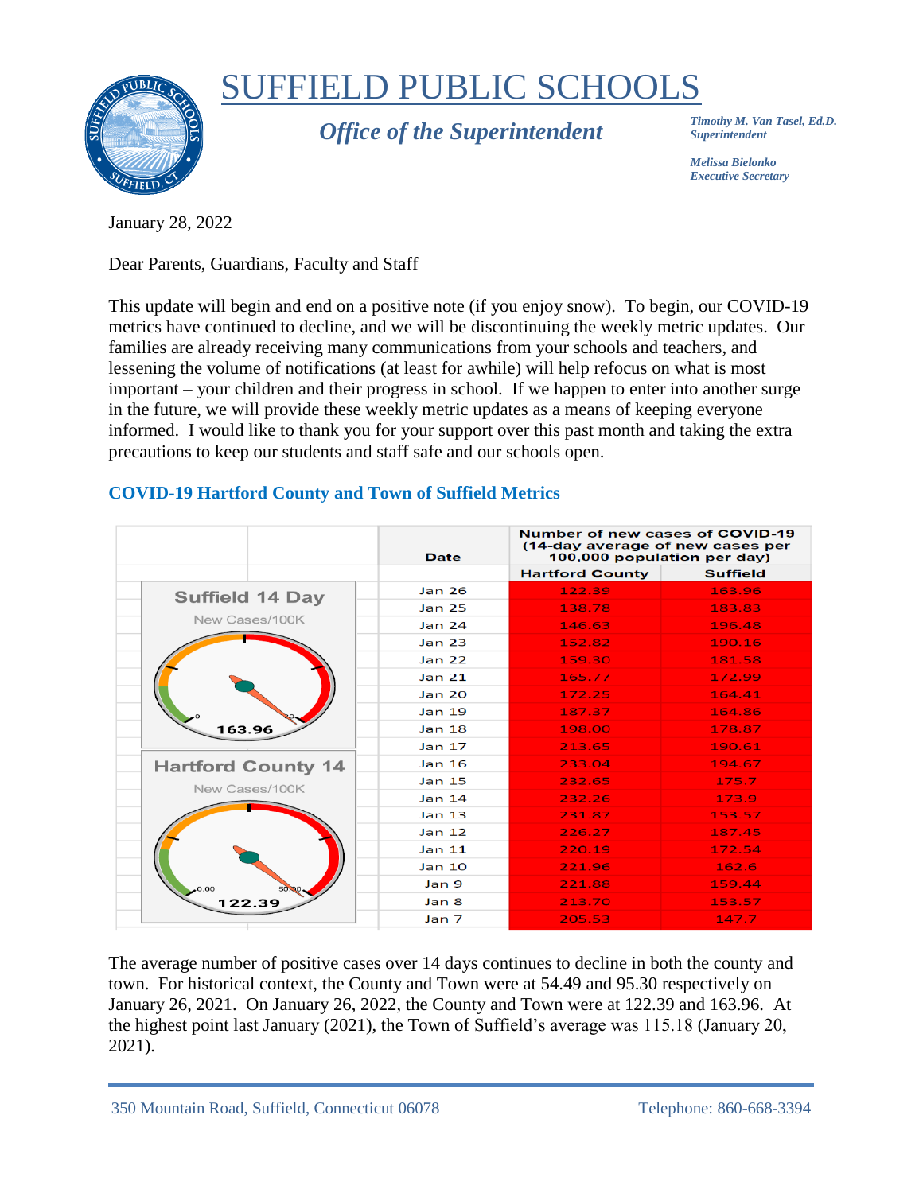

# SUFFIELD PUBLIC SCHOOLS

*Office of the Superintendent*

*Timothy M. Van Tasel, Ed.D. Superintendent*

*Melissa Bielonko Executive Secretary*

January 28, 2022

Dear Parents, Guardians, Faculty and Staff

This update will begin and end on a positive note (if you enjoy snow). To begin, our COVID-19 metrics have continued to decline, and we will be discontinuing the weekly metric updates. Our families are already receiving many communications from your schools and teachers, and lessening the volume of notifications (at least for awhile) will help refocus on what is most important – your children and their progress in school. If we happen to enter into another surge in the future, we will provide these weekly metric updates as a means of keeping everyone informed. I would like to thank you for your support over this past month and taking the extra precautions to keep our students and staff safe and our schools open.

## **COVID-19 Hartford County and Town of Suffield Metrics**

|                           | <b>Date</b>       | Number of new cases of COVID-19<br>(14-day average of new cases per<br>100,000 population per day) |                 |  |  |  |  |  |  |
|---------------------------|-------------------|----------------------------------------------------------------------------------------------------|-----------------|--|--|--|--|--|--|
|                           |                   | <b>Hartford County</b>                                                                             | <b>Suffield</b> |  |  |  |  |  |  |
| <b>Suffield 14 Day</b>    | Jan <sub>26</sub> | 122.39                                                                                             | 163.96          |  |  |  |  |  |  |
|                           | Jan <sub>25</sub> | 138.78                                                                                             | 183.83          |  |  |  |  |  |  |
| New Cases/100K            | Jan <sub>24</sub> | 146.63                                                                                             | 196.48          |  |  |  |  |  |  |
|                           | Jan <sub>23</sub> | 152.82                                                                                             | 190.16          |  |  |  |  |  |  |
|                           | Jan <sub>22</sub> | 159.30                                                                                             | 181.58          |  |  |  |  |  |  |
|                           | Jan <sub>21</sub> | 165.77                                                                                             | 172.99          |  |  |  |  |  |  |
|                           | Jan <sub>20</sub> | 172.25                                                                                             | 164.41          |  |  |  |  |  |  |
|                           | <b>Jan 19</b>     | 187.37                                                                                             | 164.86          |  |  |  |  |  |  |
| 163.96                    | <b>Jan 18</b>     | 198.00                                                                                             | 178.87          |  |  |  |  |  |  |
|                           | Jan <sub>17</sub> | 213.65                                                                                             | 190.61          |  |  |  |  |  |  |
| <b>Hartford County 14</b> | Jan <sub>16</sub> | 233.04                                                                                             | 194.67          |  |  |  |  |  |  |
| New Cases/100K            | Jan <sub>15</sub> | 232.65                                                                                             | 175.7           |  |  |  |  |  |  |
|                           | Jan <sub>14</sub> | 232.26                                                                                             | 173.9           |  |  |  |  |  |  |
|                           | Jan <sub>13</sub> | 231.87                                                                                             | 153.57          |  |  |  |  |  |  |
|                           | Jan <sub>12</sub> | 226.27                                                                                             | 187.45          |  |  |  |  |  |  |
|                           | Jan <sub>11</sub> | 220.19                                                                                             | 172.54          |  |  |  |  |  |  |
|                           | Jan <sub>10</sub> | 221.96                                                                                             | 162.6           |  |  |  |  |  |  |
|                           | Jan 9             | 221.88                                                                                             | 159.44          |  |  |  |  |  |  |
| 22.3                      | Jan 8             | 213.70                                                                                             | 153.57          |  |  |  |  |  |  |
|                           | Jan 7             | 205.53                                                                                             | 147.7           |  |  |  |  |  |  |

The average number of positive cases over 14 days continues to decline in both the county and town. For historical context, the County and Town were at 54.49 and 95.30 respectively on January 26, 2021. On January 26, 2022, the County and Town were at 122.39 and 163.96. At the highest point last January (2021), the Town of Suffield's average was 115.18 (January 20, 2021).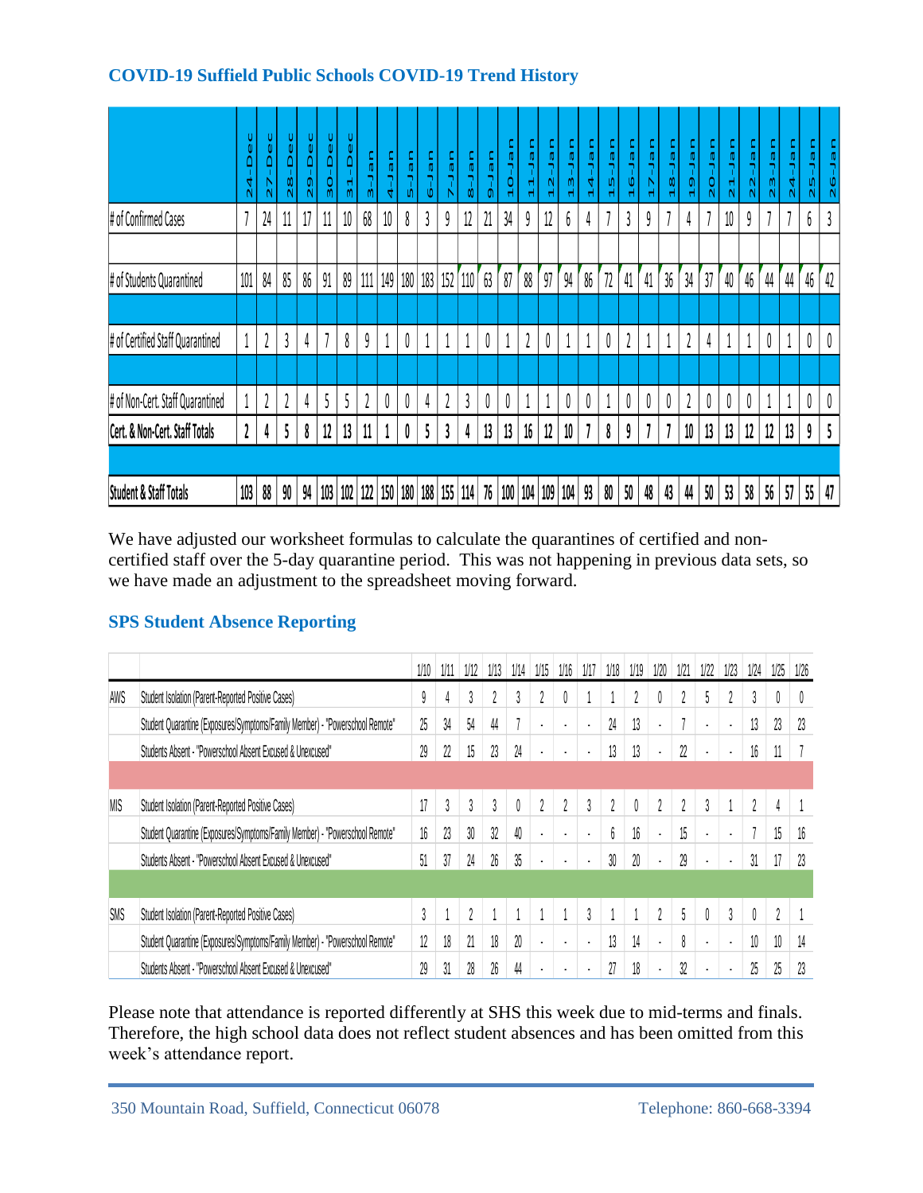### **COVID-19 Suffield Public Schools COVID-19 Trend History**

|     |                                                                                                                                                                                                                                    | Ü<br>$\mathbf{0}$<br>۵<br>4<br>$\mathsf{N}$ | U<br>$\mathbb U$<br>$\overline{\mathsf{O}}$<br>N | U<br>$\mathbb U$<br>Ó<br>Ø<br>$\mathsf{N}$ | $\mathbf{0}$<br>Δ<br>0<br>$\mathsf{N}$ | Dec<br>0<br>$\mathfrak{m}$ | U<br>$\sum_{i=1}^{n}$<br>Ч<br>$\mathfrak{m}$ | Ø<br>$\mathfrak{m}$ | u er-t | ם<br>קי<br>W) | コのフー<br>Ó | コのフ    | a = L-8                                            | コロー<br>0 | のワー<br>$\frac{1}{2}$ | $\frac{a}{1}$<br>$\frac{1}{4}$ | $12 - Ja$      | $13 - 1a$             | $14-1a$ n | 15-Jan      | ner-91        | ner-zt         | 18-Jan | ner-et | 20-Jan         | $21 -$ Jan     | $22 - Jan$ | uer-<br>$\frac{3}{2}$ | 24-Jan         | uer-<br>$\frac{5}{2}$ | ner-92 |
|-----|------------------------------------------------------------------------------------------------------------------------------------------------------------------------------------------------------------------------------------|---------------------------------------------|--------------------------------------------------|--------------------------------------------|----------------------------------------|----------------------------|----------------------------------------------|---------------------|--------|---------------|-----------|--------|----------------------------------------------------|----------|----------------------|--------------------------------|----------------|-----------------------|-----------|-------------|---------------|----------------|--------|--------|----------------|----------------|------------|-----------------------|----------------|-----------------------|--------|
|     | # of Confirmed Cases                                                                                                                                                                                                               | 7                                           | 24                                               | 11                                         | 17                                     | 11                         | 10                                           | 68                  | 10     | 8             | 3         | 9      | 12                                                 | 21       | 34                   | 9                              | 12             | 6                     | 4         |             | 3             | 9              |        | 4      |                | 10             | 9          |                       | $\overline{1}$ | 6                     | 3      |
|     | # of Students Quarantined                                                                                                                                                                                                          | 101                                         | 84                                               | 85                                         | 86                                     | 91                         | 89                                           |                     |        | 111 149 180   | 183 152   |        | $\lceil 110 \rceil$                                | 63       | 87                   | 88                             | 97             | 94                    | 86        | 72          | 41            | 41             | 36     | 34     | 37             | 40             | 46         | 44                    | 44             | $46\,$                | 42     |
|     | # of Certified Staff Quarantined                                                                                                                                                                                                   | 1                                           | $\mathfrak z$                                    | 3                                          | 4                                      |                            | 8                                            | 9                   | 1      | 0             |           |        |                                                    | 0        |                      | 2                              | 0              | 1                     | 1         | 0           | $\mathfrak z$ |                |        | 2      | 4              |                | 1          | 0                     | 1              | 0                     | 0      |
|     | # of Non-Cert. Staff Quarantined                                                                                                                                                                                                   | 1                                           | $\overline{\mathfrak{c}}$                        | $\iota$                                    | 4                                      | 5                          | 5                                            | $\iota$             | 0      | 0             | 4         |        | 3                                                  | 0        | 0                    | 1                              | 1              | 0                     | 0         | $\mathbf 1$ | 0             | 0              | 0      |        | 0              | 0              | 0          |                       |                | 0                     | 0      |
|     | Cert. & Non-Cert. Staff Totals                                                                                                                                                                                                     | $\mathfrak{c}$                              | 4                                                | 5                                          | 8                                      | 12                         | 13                                           | 11                  |        | 0             | 5         | 3      | 4                                                  | 13       | 13                   | 16                             | 12             | 10                    |           | 8           | 9             |                |        | 10     | 13             | 13             | 12         | 12                    | 13             | 9                     | 5      |
|     | <b>Student &amp; Staff Totals</b>                                                                                                                                                                                                  | 103                                         | 88                                               | 90                                         | 94                                     |                            |                                              |                     |        |               |           |        | 103   102   122   150   180   188   155   114   76 |          |                      |                                |                | 100   104   109   104 | 93        | 80          | 50            | 48             | 43     | 44     | 50             | 53             | 58         | 56                    | 57             | 55                    | 47     |
|     | <b>SPS Student Absence Reporting</b>                                                                                                                                                                                               |                                             |                                                  |                                            |                                        |                            |                                              |                     |        |               | 1/10      | 1/11   | 1/12                                               | 1/13     |                      | 1/14                           | 1/15           | 1/16                  | 1/17      | 1/18        | 1/19          | 1/20           |        | 1/21   | 1/22           | 1/23           | 1/24       | 1/25                  |                | 1/26                  |        |
| AWS | Student Isolation (Parent-Reported Positive Cases)                                                                                                                                                                                 |                                             |                                                  |                                            |                                        |                            |                                              |                     |        |               | 9         |        | 3                                                  | 2        |                      | 3                              | 2              | 0                     |           | 1           | 2             | 0              |        | 2      | 5              | 2              | 3          | 0                     |                | 0                     |        |
|     | Student Quarantine (Exposures/Symptoms/Family Member) - "Powerschool Remote"                                                                                                                                                       |                                             |                                                  |                                            |                                        |                            |                                              |                     |        |               | 25        | 34     | 54                                                 | 44       |                      | 7                              | $\blacksquare$ | $\blacksquare$        |           | 24          | 13            | ä,             |        | 7      | $\blacksquare$ | $\blacksquare$ | 13         | 23                    |                | 23                    |        |
|     | Students Absent - "Powerschool Absent Excused & Unexcused"                                                                                                                                                                         |                                             |                                                  |                                            |                                        |                            |                                              |                     |        |               | 29        | 22     | 15                                                 | 23       |                      | 24                             |                |                       |           | 13          | 13            |                |        | 22     |                |                | 16         | 11                    |                |                       |        |
| MIS | Student Isolation (Parent-Reported Positive Cases)                                                                                                                                                                                 |                                             |                                                  |                                            |                                        |                            |                                              |                     |        |               | 17        | 3      | 3                                                  | 3        |                      | 0                              | 2              | 2                     | 3         | 2           | 0             | 2              |        | 2      | 3              |                | 2          | 4                     |                |                       |        |
|     | Student Quarantine (Exposures/Symptoms/Family Member) - "Powerschool Remote"                                                                                                                                                       |                                             |                                                  |                                            |                                        |                            |                                              |                     |        |               | 16        | $23\,$ | $30\,$                                             | 32       |                      | 40                             | ä,             | ¥,                    | ä,        | 6           | $16\,$        | $\blacksquare$ |        | 15     | ¥,             | ä,             |            | 15                    |                | 16                    |        |
|     | Students Absent - "Powerschool Absent Excused & Unexcused"                                                                                                                                                                         |                                             |                                                  |                                            |                                        |                            |                                              |                     |        |               | 51        | 37     | 24                                                 | 26       |                      | 35                             |                |                       |           | 30          | 20            |                |        | 29     |                |                | 31         | 17                    |                | 23                    |        |
|     |                                                                                                                                                                                                                                    |                                             |                                                  |                                            |                                        |                            |                                              |                     |        |               |           |        |                                                    |          |                      |                                |                |                       |           |             |               |                |        |        |                |                |            |                       |                |                       |        |
| SMS | Student Isolation (Parent-Reported Positive Cases)                                                                                                                                                                                 |                                             |                                                  |                                            |                                        |                            |                                              |                     |        |               | 3         |        | $\boldsymbol{2}$                                   |          |                      |                                |                |                       | 3         |             |               | 2              |        | 5      | 0              | 3              | 0          | 2                     |                | -1                    |        |
|     | Student Quarantine (Exposures/Symptoms/Family Member) - "Powerschool Remote"                                                                                                                                                       |                                             |                                                  |                                            |                                        |                            |                                              |                     |        |               | 12        | 18     | 21                                                 | 18       |                      | $20\,$                         |                |                       |           | 13          | 14            |                |        | 8      |                | $\blacksquare$ | 10         | 10                    |                | 14                    |        |
|     | Students Absent - "Powerschool Absent Excused & Unexcused"                                                                                                                                                                         |                                             |                                                  |                                            |                                        |                            |                                              |                     |        |               | 29        | 31     | $28\,$                                             | 26       |                      | 44                             |                |                       |           | 27          | 18            |                |        | 32     |                |                | 25         | 25                    |                | 23                    |        |
|     | Please note that attendance is reported differently at SHS this week due to mid-terms and finals.<br>Therefore, the high school data does not reflect student absences and has been omitted from this<br>week's attendance report. |                                             |                                                  |                                            |                                        |                            |                                              |                     |        |               |           |        |                                                    |          |                      |                                |                |                       |           |             |               |                |        |        |                |                |            |                       |                |                       |        |

### **SPS Student Absence Reporting**

|            |                                                                              | 1/10 | 1/11 | 1/12      | 1/13 | 1/14 | 1/15         | 1/16             | 1/17         | 1/18 | 1/19 | 1/20          | 1/21 | 1/22           | 1/23         | 1/24             | 1/25 | 1/26 |
|------------|------------------------------------------------------------------------------|------|------|-----------|------|------|--------------|------------------|--------------|------|------|---------------|------|----------------|--------------|------------------|------|------|
| AWS        | Student Isolation (Parent-Reported Positive Cases)                           | 9    |      | 3         |      | 3    |              | 0                |              |      | 2    | $\varnothing$ | 2    | 5              | Λ            | 3                |      | 0    |
|            | Student Quarantine (Exposures/Symptoms/Family Member) - "Powerschool Remote" | 25   | 34   | 54        | 44   |      | ٠            | $\bullet$        | ٠            | 24   | 13   | ٠             |      | $\bullet$      |              | 13               | 23   | 23   |
|            | Students Absent - "Powerschool Absent Excused & Unexcused"                   | 29   | 22   | 15        | 23   | 24   |              | $\bullet$        |              | 13   | 13   | ×             | 22   | ٠              |              | 16               |      |      |
|            |                                                                              |      |      |           |      |      |              |                  |              |      |      |               |      |                |              |                  |      |      |
| <b>MIS</b> | Student Isolation (Parent-Reported Positive Cases)                           | 17   | 3    | 3         | 3    |      | 2            | $\boldsymbol{2}$ | 3            | 2    | 0    | $\sqrt{2}$    | 2    | $\mathfrak{z}$ |              | $\boldsymbol{2}$ | 4    |      |
|            | Student Quarantine (Exposures/Symptoms/Family Member) - "Powerschool Remote" | 16   | 23   | 30        | 32   | 40   | $\sim$       | $\epsilon$       | $\mathbf{r}$ | 6    | 16   | $\mathbf{r}$  | 15   | $\epsilon$     | $\mathbf{r}$ |                  | 15   | 16   |
|            | Students Absent - "Powerschool Absent Excused & Unexcused"                   | 51   | 37   | 24        | 26   | 35   | ä,           |                  |              | 30   | 20   | ٠             | 29   | $\bullet$      |              | 31               | 17   | 23   |
|            |                                                                              |      |      |           |      |      |              |                  |              |      |      |               |      |                |              |                  |      |      |
| SMS        | Student Isolation (Parent-Reported Positive Cases)                           | 3    |      | $\hat{c}$ |      |      |              |                  | 3            |      |      | 2             | 5    | 0              | 3            |                  |      |      |
|            | Student Quarantine (Exposures/Symptoms/Family Member) - "Powerschool Remote" | 12   | 18   | 21        | 18   | 20   | $\mathbf{r}$ | $\epsilon$       | $\mathbf{r}$ | 13   | 14   | $\bullet$     | 8    | $\epsilon$     | $\mathbf{r}$ | 10               | 10   | 14   |
|            | Students Absent - "Powerschool Absent Excused & Unexcused"                   | 29   | 31   | 28        | 26   | 44   | ٠.           | $\bullet$        |              | 27   | 18   | $\bullet$     | 32   | $\bullet$      |              | 25               | 25   | 23   |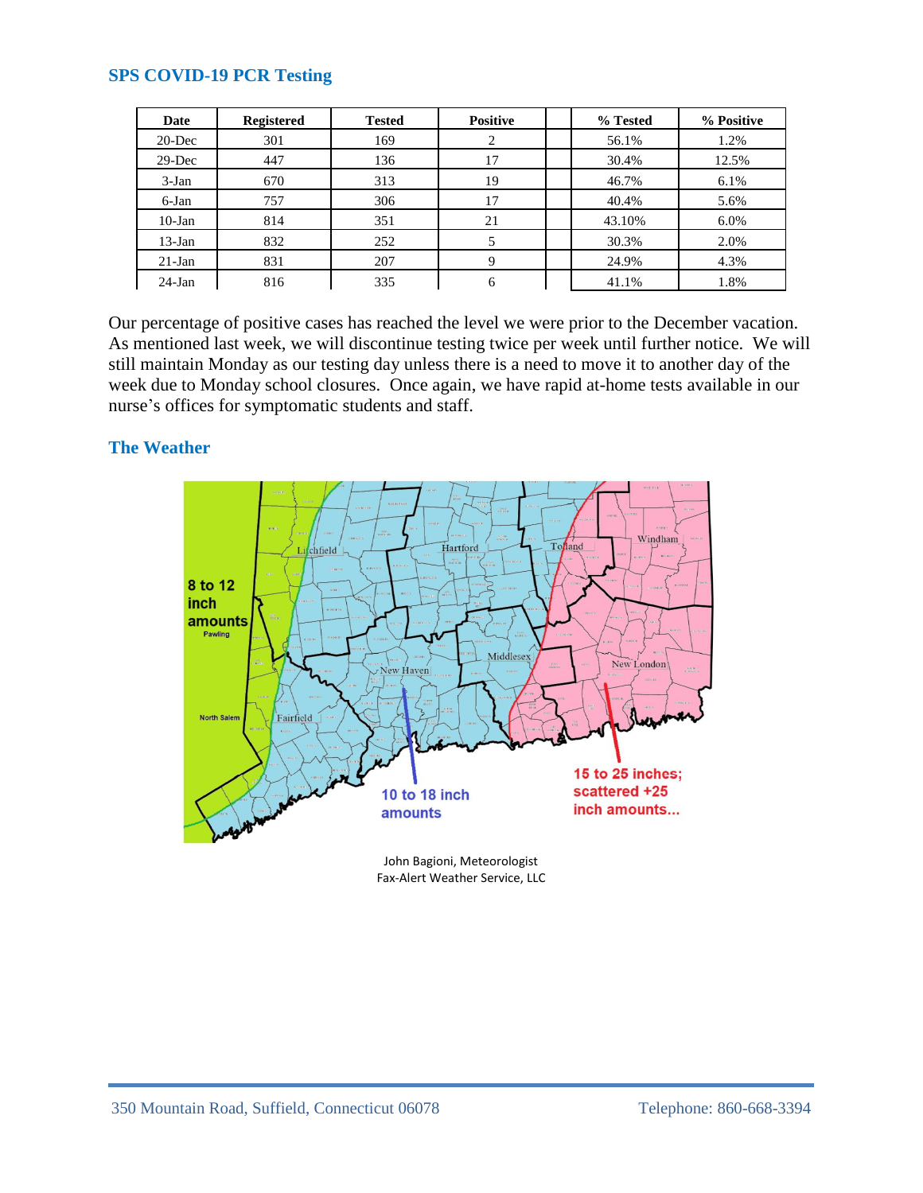#### **SPS COVID-19 PCR Testing**

| Date      | <b>Registered</b> | <b>Tested</b> | <b>Positive</b> | % Tested | % Positive |
|-----------|-------------------|---------------|-----------------|----------|------------|
| $20$ -Dec | 301               | 169           | ◠               | 56.1%    | 1.2%       |
| $29$ -Dec | 447               | 136           | 17              | 30.4%    | 12.5%      |
| $3-Jan$   | 670               | 313           | 19              | 46.7%    | 6.1%       |
| 6-Jan     | 757               | 306           | 17              | 40.4%    | 5.6%       |
| $10$ -Jan | 814               | 351           | 21              | 43.10%   | 6.0%       |
| $13-Jan$  | 832               | 252           |                 | 30.3%    | 2.0%       |
| $21-Jan$  | 831               | 207           | Q               | 24.9%    | 4.3%       |
| $24$ -Jan | 816               | 335           | 6               | 41.1%    | 1.8%       |

Our percentage of positive cases has reached the level we were prior to the December vacation. As mentioned last week, we will discontinue testing twice per week until further notice. We will still maintain Monday as our testing day unless there is a need to move it to another day of the week due to Monday school closures. Once again, we have rapid at-home tests available in our nurse's offices for symptomatic students and staff.

### **The Weather**



John Bagioni, Meteorologist Fax-Alert Weather Service, LLC